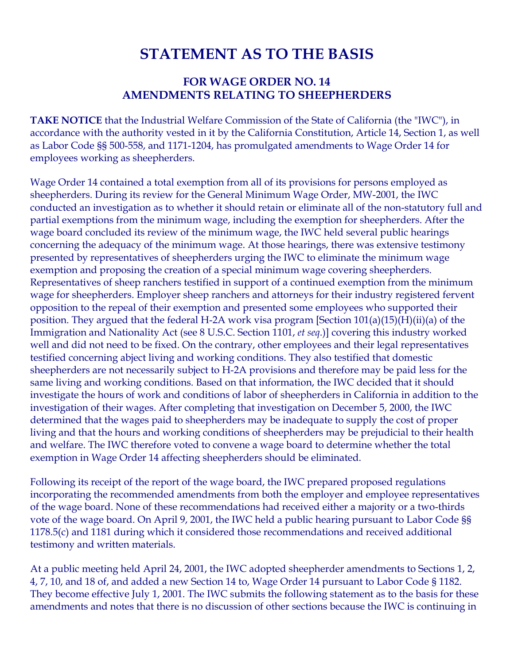# **STATEMENT AS TO THE BASIS**

## **FOR WAGE ORDER NO. 14 AMENDMENTS RELATING TO SHEEPHERDERS**

**TAKE NOTICE** that the Industrial Welfare Commission of the State of California (the "IWC"), in accordance with the authority vested in it by the California Constitution, Article 14, Section 1, as well as Labor Code §§ 500-558, and 1171-1204, has promulgated amendments to Wage Order 14 for employees working as sheepherders.

Wage Order 14 contained a total exemption from all of its provisions for persons employed as sheepherders. During its review for the General Minimum Wage Order, MW-2001, the IWC conducted an investigation as to whether it should retain or eliminate all of the non-statutory full and partial exemptions from the minimum wage, including the exemption for sheepherders. After the wage board concluded its review of the minimum wage, the IWC held several public hearings concerning the adequacy of the minimum wage. At those hearings, there was extensive testimony presented by representatives of sheepherders urging the IWC to eliminate the minimum wage exemption and proposing the creation of a special minimum wage covering sheepherders. Representatives of sheep ranchers testified in support of a continued exemption from the minimum wage for sheepherders. Employer sheep ranchers and attorneys for their industry registered fervent opposition to the repeal of their exemption and presented some employees who supported their position. They argued that the federal H-2A work visa program [Section 101(a)(15)(H)(ii)(a) of the Immigration and Nationality Act (see 8 U.S.C. Section 1101, *et seq*.)] covering this industry worked well and did not need to be fixed. On the contrary, other employees and their legal representatives testified concerning abject living and working conditions. They also testified that domestic sheepherders are not necessarily subject to H-2A provisions and therefore may be paid less for the same living and working conditions. Based on that information, the IWC decided that it should investigate the hours of work and conditions of labor of sheepherders in California in addition to the investigation of their wages. After completing that investigation on December 5, 2000, the IWC determined that the wages paid to sheepherders may be inadequate to supply the cost of proper living and that the hours and working conditions of sheepherders may be prejudicial to their health and welfare. The IWC therefore voted to convene a wage board to determine whether the total exemption in Wage Order 14 affecting sheepherders should be eliminated.

Following its receipt of the report of the wage board, the IWC prepared proposed regulations incorporating the recommended amendments from both the employer and employee representatives of the wage board. None of these recommendations had received either a majority or a two-thirds vote of the wage board. On April 9, 2001, the IWC held a public hearing pursuant to Labor Code §§ 1178.5(c) and 1181 during which it considered those recommendations and received additional testimony and written materials.

At a public meeting held April 24, 2001, the IWC adopted sheepherder amendments to Sections 1, 2, 4, 7, 10, and 18 of, and added a new Section 14 to, Wage Order 14 pursuant to Labor Code § 1182. They become effective July 1, 2001. The IWC submits the following statement as to the basis for these amendments and notes that there is no discussion of other sections because the IWC is continuing in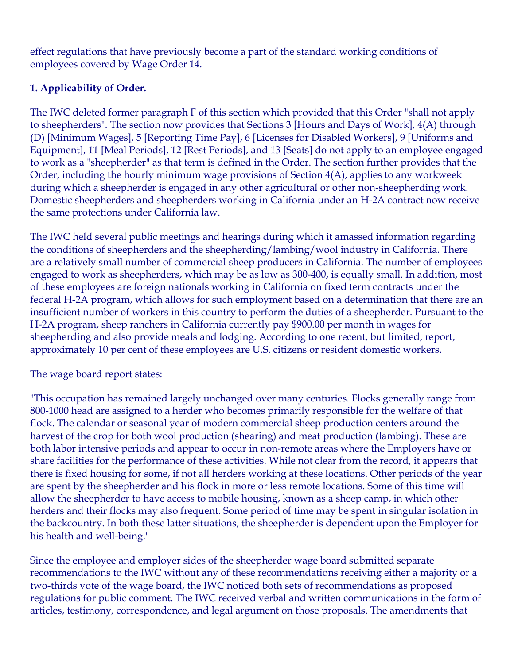effect regulations that have previously become a part of the standard working conditions of employees covered by Wage Order 14.

## **1. Applicability of Order.**

The IWC deleted former paragraph F of this section which provided that this Order "shall not apply to sheepherders". The section now provides that Sections 3 [Hours and Days of Work], 4(A) through (D) [Minimum Wages], 5 [Reporting Time Pay], 6 [Licenses for Disabled Workers], 9 [Uniforms and Equipment], 11 [Meal Periods], 12 [Rest Periods], and 13 [Seats] do not apply to an employee engaged to work as a "sheepherder" as that term is defined in the Order. The section further provides that the Order, including the hourly minimum wage provisions of Section 4(A), applies to any workweek during which a sheepherder is engaged in any other agricultural or other non-sheepherding work. Domestic sheepherders and sheepherders working in California under an H-2A contract now receive the same protections under California law.

The IWC held several public meetings and hearings during which it amassed information regarding the conditions of sheepherders and the sheepherding/lambing/wool industry in California. There are a relatively small number of commercial sheep producers in California. The number of employees engaged to work as sheepherders, which may be as low as 300-400, is equally small. In addition, most of these employees are foreign nationals working in California on fixed term contracts under the federal H-2A program, which allows for such employment based on a determination that there are an insufficient number of workers in this country to perform the duties of a sheepherder. Pursuant to the H-2A program, sheep ranchers in California currently pay \$900.00 per month in wages for sheepherding and also provide meals and lodging. According to one recent, but limited, report, approximately 10 per cent of these employees are U.S. citizens or resident domestic workers.

## The wage board report states:

"This occupation has remained largely unchanged over many centuries. Flocks generally range from 800-1000 head are assigned to a herder who becomes primarily responsible for the welfare of that flock. The calendar or seasonal year of modern commercial sheep production centers around the harvest of the crop for both wool production (shearing) and meat production (lambing). These are both labor intensive periods and appear to occur in non-remote areas where the Employers have or share facilities for the performance of these activities. While not clear from the record, it appears that there is fixed housing for some, if not all herders working at these locations. Other periods of the year are spent by the sheepherder and his flock in more or less remote locations. Some of this time will allow the sheepherder to have access to mobile housing, known as a sheep camp, in which other herders and their flocks may also frequent. Some period of time may be spent in singular isolation in the backcountry. In both these latter situations, the sheepherder is dependent upon the Employer for his health and well-being."

Since the employee and employer sides of the sheepherder wage board submitted separate recommendations to the IWC without any of these recommendations receiving either a majority or a two-thirds vote of the wage board, the IWC noticed both sets of recommendations as proposed regulations for public comment. The IWC received verbal and written communications in the form of articles, testimony, correspondence, and legal argument on those proposals. The amendments that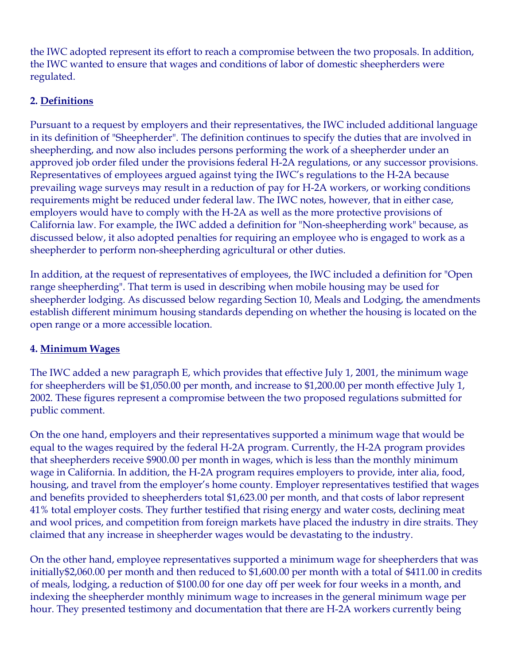the IWC adopted represent its effort to reach a compromise between the two proposals. In addition, the IWC wanted to ensure that wages and conditions of labor of domestic sheepherders were regulated.

## **2. Definitions**

Pursuant to a request by employers and their representatives, the IWC included additional language in its definition of "Sheepherder". The definition continues to specify the duties that are involved in sheepherding, and now also includes persons performing the work of a sheepherder under an approved job order filed under the provisions federal H-2A regulations, or any successor provisions. Representatives of employees argued against tying the IWC's regulations to the H-2A because prevailing wage surveys may result in a reduction of pay for H-2A workers, or working conditions requirements might be reduced under federal law. The IWC notes, however, that in either case, employers would have to comply with the H-2A as well as the more protective provisions of California law. For example, the IWC added a definition for "Non-sheepherding work" because, as discussed below, it also adopted penalties for requiring an employee who is engaged to work as a sheepherder to perform non-sheepherding agricultural or other duties.

In addition, at the request of representatives of employees, the IWC included a definition for "Open range sheepherding". That term is used in describing when mobile housing may be used for sheepherder lodging. As discussed below regarding Section 10, Meals and Lodging, the amendments establish different minimum housing standards depending on whether the housing is located on the open range or a more accessible location.

#### **4. Minimum Wages**

The IWC added a new paragraph E, which provides that effective July 1, 2001, the minimum wage for sheepherders will be \$1,050.00 per month, and increase to \$1,200.00 per month effective July 1, 2002. These figures represent a compromise between the two proposed regulations submitted for public comment.

On the one hand, employers and their representatives supported a minimum wage that would be equal to the wages required by the federal H-2A program. Currently, the H-2A program provides that sheepherders receive \$900.00 per month in wages, which is less than the monthly minimum wage in California. In addition, the H-2A program requires employers to provide, inter alia, food, housing, and travel from the employer's home county. Employer representatives testified that wages and benefits provided to sheepherders total \$1,623.00 per month, and that costs of labor represent 41% total employer costs. They further testified that rising energy and water costs, declining meat and wool prices, and competition from foreign markets have placed the industry in dire straits. They claimed that any increase in sheepherder wages would be devastating to the industry.

On the other hand, employee representatives supported a minimum wage for sheepherders that was initially\$2,060.00 per month and then reduced to \$1,600.00 per month with a total of \$411.00 in credits of meals, lodging, a reduction of \$100.00 for one day off per week for four weeks in a month, and indexing the sheepherder monthly minimum wage to increases in the general minimum wage per hour. They presented testimony and documentation that there are H-2A workers currently being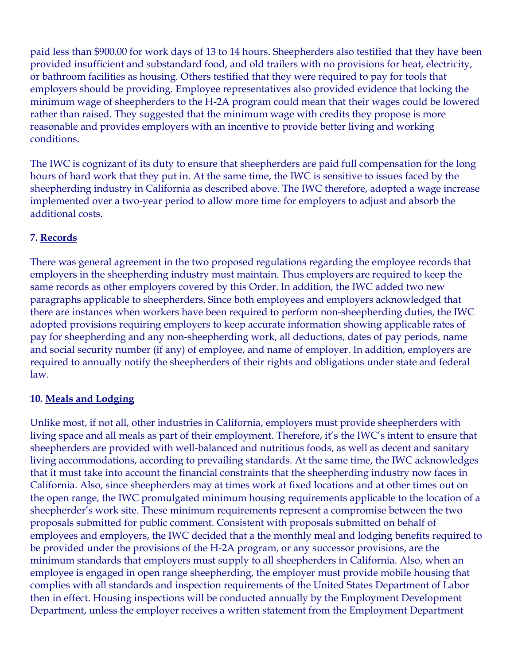paid less than \$900.00 for work days of 13 to 14 hours. Sheepherders also testified that they have been provided insufficient and substandard food, and old trailers with no provisions for heat, electricity, or bathroom facilities as housing. Others testified that they were required to pay for tools that employers should be providing. Employee representatives also provided evidence that locking the minimum wage of sheepherders to the H-2A program could mean that their wages could be lowered rather than raised. They suggested that the minimum wage with credits they propose is more reasonable and provides employers with an incentive to provide better living and working conditions.

The IWC is cognizant of its duty to ensure that sheepherders are paid full compensation for the long hours of hard work that they put in. At the same time, the IWC is sensitive to issues faced by the sheepherding industry in California as described above. The IWC therefore, adopted a wage increase implemented over a two-year period to allow more time for employers to adjust and absorb the additional costs.

# **7. Records**

There was general agreement in the two proposed regulations regarding the employee records that employers in the sheepherding industry must maintain. Thus employers are required to keep the same records as other employers covered by this Order. In addition, the IWC added two new paragraphs applicable to sheepherders. Since both employees and employers acknowledged that there are instances when workers have been required to perform non-sheepherding duties, the IWC adopted provisions requiring employers to keep accurate information showing applicable rates of pay for sheepherding and any non-sheepherding work, all deductions, dates of pay periods, name and social security number (if any) of employee, and name of employer. In addition, employers are required to annually notify the sheepherders of their rights and obligations under state and federal law.

## **10. Meals and Lodging**

Unlike most, if not all, other industries in California, employers must provide sheepherders with living space and all meals as part of their employment. Therefore, it's the IWC's intent to ensure that sheepherders are provided with well-balanced and nutritious foods, as well as decent and sanitary living accommodations, according to prevailing standards. At the same time, the IWC acknowledges that it must take into account the financial constraints that the sheepherding industry now faces in California. Also, since sheepherders may at times work at fixed locations and at other times out on the open range, the IWC promulgated minimum housing requirements applicable to the location of a sheepherder's work site. These minimum requirements represent a compromise between the two proposals submitted for public comment. Consistent with proposals submitted on behalf of employees and employers, the IWC decided that a the monthly meal and lodging benefits required to be provided under the provisions of the H-2A program, or any successor provisions, are the minimum standards that employers must supply to all sheepherders in California. Also, when an employee is engaged in open range sheepherding, the employer must provide mobile housing that complies with all standards and inspection requirements of the United States Department of Labor then in effect. Housing inspections will be conducted annually by the Employment Development Department, unless the employer receives a written statement from the Employment Department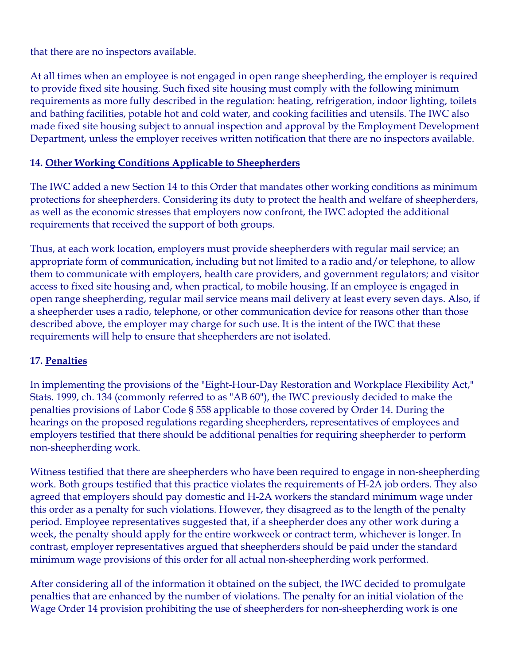that there are no inspectors available.

At all times when an employee is not engaged in open range sheepherding, the employer is required to provide fixed site housing. Such fixed site housing must comply with the following minimum requirements as more fully described in the regulation: heating, refrigeration, indoor lighting, toilets and bathing facilities, potable hot and cold water, and cooking facilities and utensils. The IWC also made fixed site housing subject to annual inspection and approval by the Employment Development Department, unless the employer receives written notification that there are no inspectors available.

## **14. Other Working Conditions Applicable to Sheepherders**

The IWC added a new Section 14 to this Order that mandates other working conditions as minimum protections for sheepherders. Considering its duty to protect the health and welfare of sheepherders, as well as the economic stresses that employers now confront, the IWC adopted the additional requirements that received the support of both groups.

Thus, at each work location, employers must provide sheepherders with regular mail service; an appropriate form of communication, including but not limited to a radio and/or telephone, to allow them to communicate with employers, health care providers, and government regulators; and visitor access to fixed site housing and, when practical, to mobile housing. If an employee is engaged in open range sheepherding, regular mail service means mail delivery at least every seven days. Also, if a sheepherder uses a radio, telephone, or other communication device for reasons other than those described above, the employer may charge for such use. It is the intent of the IWC that these requirements will help to ensure that sheepherders are not isolated.

#### **17. Penalties**

In implementing the provisions of the "Eight-Hour-Day Restoration and Workplace Flexibility Act," Stats. 1999, ch. 134 (commonly referred to as "AB 60"), the IWC previously decided to make the penalties provisions of Labor Code § 558 applicable to those covered by Order 14. During the hearings on the proposed regulations regarding sheepherders, representatives of employees and employers testified that there should be additional penalties for requiring sheepherder to perform non-sheepherding work.

Witness testified that there are sheepherders who have been required to engage in non-sheepherding work. Both groups testified that this practice violates the requirements of H-2A job orders. They also agreed that employers should pay domestic and H-2A workers the standard minimum wage under this order as a penalty for such violations. However, they disagreed as to the length of the penalty period. Employee representatives suggested that, if a sheepherder does any other work during a week, the penalty should apply for the entire workweek or contract term, whichever is longer. In contrast, employer representatives argued that sheepherders should be paid under the standard minimum wage provisions of this order for all actual non-sheepherding work performed.

After considering all of the information it obtained on the subject, the IWC decided to promulgate penalties that are enhanced by the number of violations. The penalty for an initial violation of the Wage Order 14 provision prohibiting the use of sheepherders for non-sheepherding work is one